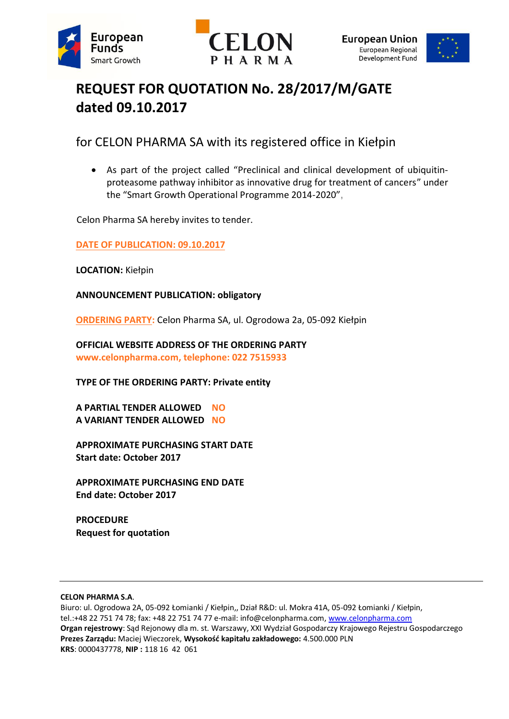





# **REQUEST FOR QUOTATION No. 28/2017/M/GATE dated 09.10.2017**

for CELON PHARMA SA with its registered office in Kiełpin

 As part of the project called "Preclinical and clinical development of ubiquitinproteasome pathway inhibitor as innovative drug for treatment of cancers" under the "Smart Growth Operational Programme 2014-2020",

Celon Pharma SA hereby invites to tender.

## **DATE OF PUBLICATION: 09.10.2017**

**LOCATION:** Kiełpin

**ANNOUNCEMENT PUBLICATION: obligatory**

**ORDERING PARTY:** Celon Pharma SA, ul. Ogrodowa 2a, 05-092 Kiełpin

**OFFICIAL WEBSITE ADDRESS OF THE ORDERING PARTY www.celonpharma.com, telephone: 022 7515933**

**TYPE OF THE ORDERING PARTY: Private entity**

**A PARTIAL TENDER ALLOWED NO A VARIANT TENDER ALLOWED NO**

**APPROXIMATE PURCHASING START DATE Start date: October 2017**

**APPROXIMATE PURCHASING END DATE End date: October 2017**

**PROCEDURE Request for quotation**

#### **CELON PHARMA S.A**.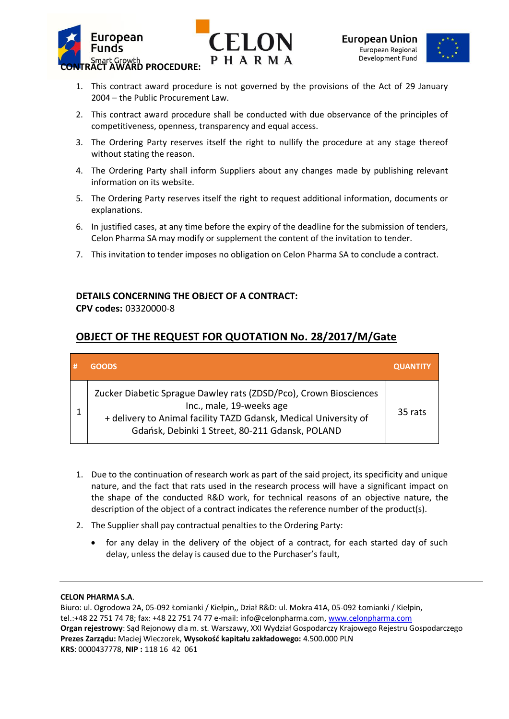



- 1. This contract award procedure is not governed by the provisions of the Act of 29 January 2004 – the Public Procurement Law.
- 2. This contract award procedure shall be conducted with due observance of the principles of competitiveness, openness, transparency and equal access.
- 3. The Ordering Party reserves itself the right to nullify the procedure at any stage thereof without stating the reason.
- 4. The Ordering Party shall inform Suppliers about any changes made by publishing relevant information on its website.
- 5. The Ordering Party reserves itself the right to request additional information, documents or explanations.
- 6. In justified cases, at any time before the expiry of the deadline for the submission of tenders, Celon Pharma SA may modify or supplement the content of the invitation to tender.
- 7. This invitation to tender imposes no obligation on Celon Pharma SA to conclude a contract.

# **DETAILS CONCERNING THE OBJECT OF A CONTRACT:**

**CPV codes:** 03320000-8

# **OBJECT OF THE REQUEST FOR QUOTATION No. 28/2017/M/Gate**

| # | <b>GOODS</b>                                                                                                                                                                                                         | <b>QUANTITY</b> |
|---|----------------------------------------------------------------------------------------------------------------------------------------------------------------------------------------------------------------------|-----------------|
|   | Zucker Diabetic Sprague Dawley rats (ZDSD/Pco), Crown Biosciences<br>Inc., male, 19-weeks age<br>+ delivery to Animal facility TAZD Gdansk, Medical University of<br>Gdańsk, Debinki 1 Street, 80-211 Gdansk, POLAND | 35 rats         |

- 1. Due to the continuation of research work as part of the said project, its specificity and unique nature, and the fact that rats used in the research process will have a significant impact on the shape of the conducted R&D work, for technical reasons of an objective nature, the description of the object of a contract indicates the reference number of the product(s).
- 2. The Supplier shall pay contractual penalties to the Ordering Party:
	- for any delay in the delivery of the object of a contract, for each started day of such delay, unless the delay is caused due to the Purchaser's fault,

#### **CELON PHARMA S.A**.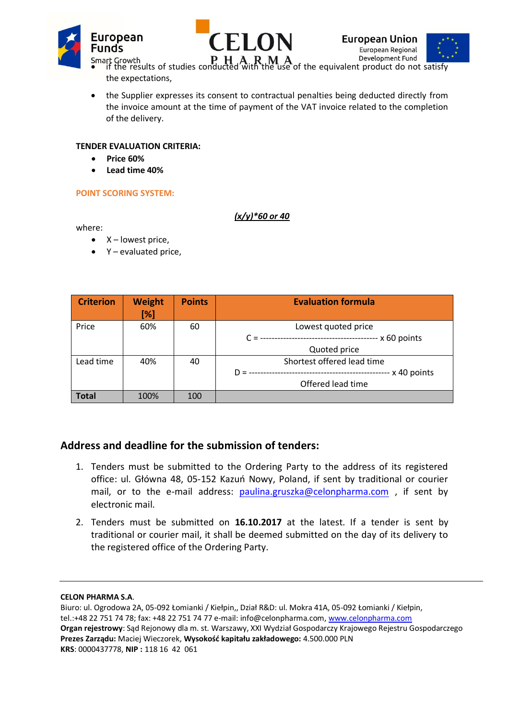





- Smart Growth **Fig. To LOGATE THA R M A** Pevelopment Fund **Fig. 1**<br>• if the results of studies conducted with the use of the equivalent product do not satisfy the expectations,
- the Supplier expresses its consent to contractual penalties being deducted directly from the invoice amount at the time of payment of the VAT invoice related to the completion of the delivery.

## **TENDER EVALUATION CRITERIA:**

- **Price 60%**
- **Lead time 40%**

### **POINT SCORING SYSTEM:**

where:

- $\bullet$  X lowest price,
- Y evaluated price,

| <b>Criterion</b> | <b>Weight</b><br>[%] | <b>Points</b> | <b>Evaluation formula</b>  |
|------------------|----------------------|---------------|----------------------------|
| Price            | 60%                  | 60            | Lowest quoted price        |
|                  |                      |               | $- x 60$ points<br>$C =$   |
|                  |                      |               | Quoted price               |
| Lead time        | 40%                  | 40            | Shortest offered lead time |
|                  |                      |               | x 40 points<br>$D =$       |
|                  |                      |               | Offered lead time          |
| <b>Total</b>     | 100%                 | 100           |                            |

*(x/y)\*60 or 40*

# **Address and deadline for the submission of tenders:**

- 1. Tenders must be submitted to the Ordering Party to the address of its registered office: ul. Główna 48, 05-152 Kazuń Nowy, Poland, if sent by traditional or courier mail, or to the e-mail address: [paulina.gruszka@celonpharma.com](mailto:paulina.gruszka@celonpharma.com), if sent by electronic mail.
- 2. Tenders must be submitted on **16.10.2017** at the latest. If a tender is sent by traditional or courier mail, it shall be deemed submitted on the day of its delivery to the registered office of the Ordering Party.

#### **CELON PHARMA S.A**.